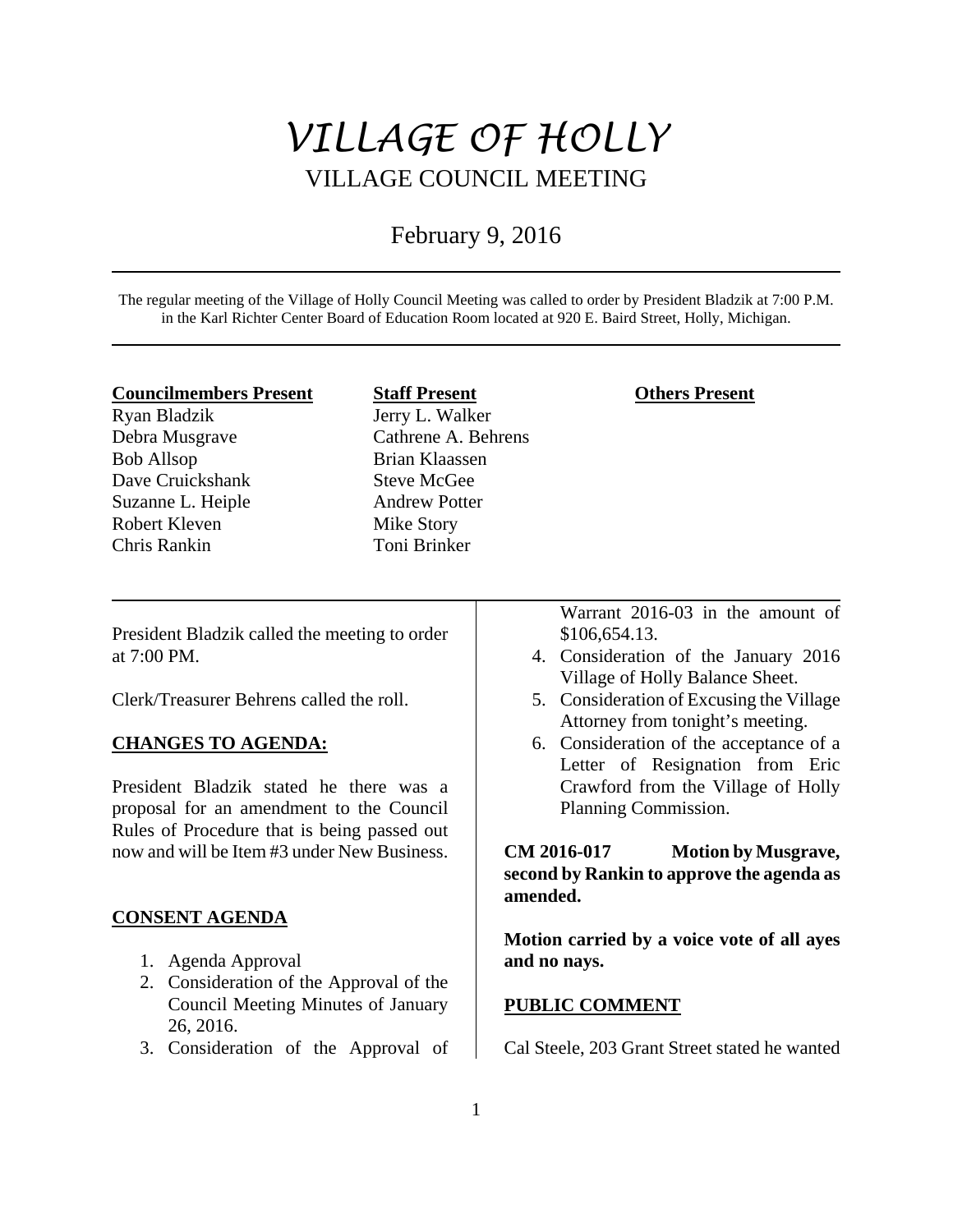# *VILLAGE OF HOLLY*  VILLAGE COUNCIL MEETING

## February 9, 2016

The regular meeting of the Village of Holly Council Meeting was called to order by President Bladzik at 7:00 P.M. in the Karl Richter Center Board of Education Room located at 920 E. Baird Street, Holly, Michigan.

#### **Councilmembers Present**

Ryan Bladzik Debra Musgrave Bob Allsop Dave Cruickshank Suzanne L. Heiple Robert Kleven Chris Rankin

#### **Staff Present**

Jerry L. Walker Cathrene A. Behrens Brian Klaassen Steve McGee Andrew Potter Mike Story Toni Brinker

## **Others Present**

President Bladzik called the meeting to order at 7:00 PM.

Clerk/Treasurer Behrens called the roll.

## **CHANGES TO AGENDA:**

President Bladzik stated he there was a proposal for an amendment to the Council Rules of Procedure that is being passed out now and will be Item #3 under New Business.

## **CONSENT AGENDA**

- 1. Agenda Approval
- 2. Consideration of the Approval of the Council Meeting Minutes of January 26, 2016.
- 3. Consideration of the Approval of

Warrant 2016-03 in the amount of \$106,654.13.

- 4. Consideration of the January 2016 Village of Holly Balance Sheet.
- 5. Consideration of Excusing the Village Attorney from tonight's meeting.
- 6. Consideration of the acceptance of a Letter of Resignation from Eric Crawford from the Village of Holly Planning Commission.

**CM 2016-017 Motion by Musgrave, second by Rankin to approve the agenda as amended.** 

**Motion carried by a voice vote of all ayes and no nays.** 

#### **PUBLIC COMMENT**

Cal Steele, 203 Grant Street stated he wanted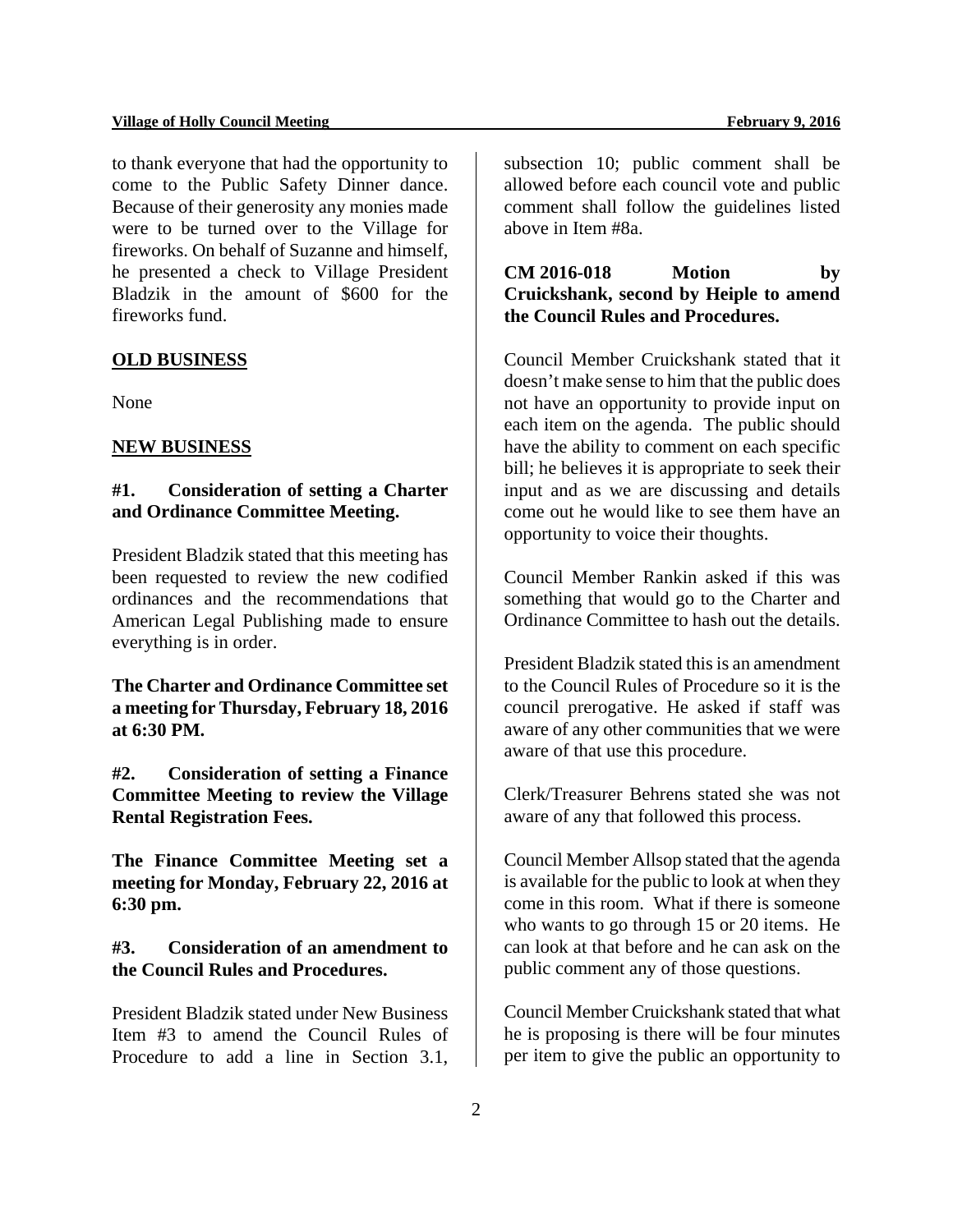to thank everyone that had the opportunity to come to the Public Safety Dinner dance. Because of their generosity any monies made were to be turned over to the Village for fireworks. On behalf of Suzanne and himself, he presented a check to Village President Bladzik in the amount of \$600 for the fireworks fund.

## **OLD BUSINESS**

None

#### **NEW BUSINESS**

## **#1. Consideration of setting a Charter and Ordinance Committee Meeting.**

President Bladzik stated that this meeting has been requested to review the new codified ordinances and the recommendations that American Legal Publishing made to ensure everything is in order.

**The Charter and Ordinance Committee set a meeting for Thursday, February 18, 2016 at 6:30 PM.** 

**#2. Consideration of setting a Finance Committee Meeting to review the Village Rental Registration Fees.** 

**The Finance Committee Meeting set a meeting for Monday, February 22, 2016 at 6:30 pm.** 

## **#3. Consideration of an amendment to the Council Rules and Procedures.**

President Bladzik stated under New Business Item #3 to amend the Council Rules of Procedure to add a line in Section 3.1,

subsection 10; public comment shall be allowed before each council vote and public comment shall follow the guidelines listed above in Item #8a.

## **CM 2016-018 Motion by Cruickshank, second by Heiple to amend the Council Rules and Procedures.**

Council Member Cruickshank stated that it doesn't make sense to him that the public does not have an opportunity to provide input on each item on the agenda. The public should have the ability to comment on each specific bill; he believes it is appropriate to seek their input and as we are discussing and details come out he would like to see them have an opportunity to voice their thoughts.

Council Member Rankin asked if this was something that would go to the Charter and Ordinance Committee to hash out the details.

President Bladzik stated this is an amendment to the Council Rules of Procedure so it is the council prerogative. He asked if staff was aware of any other communities that we were aware of that use this procedure.

Clerk/Treasurer Behrens stated she was not aware of any that followed this process.

Council Member Allsop stated that the agenda is available for the public to look at when they come in this room. What if there is someone who wants to go through 15 or 20 items. He can look at that before and he can ask on the public comment any of those questions.

Council Member Cruickshank stated that what he is proposing is there will be four minutes per item to give the public an opportunity to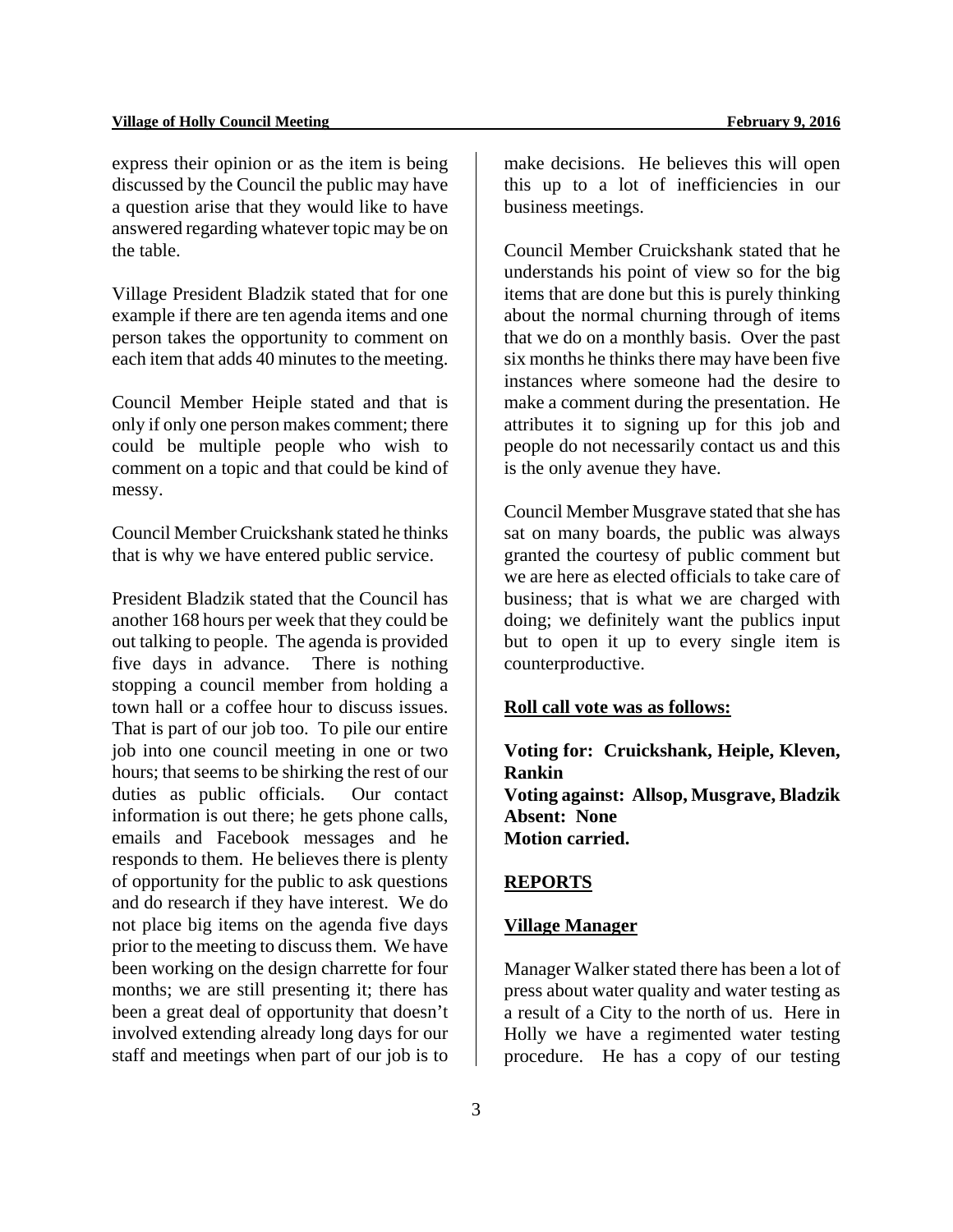express their opinion or as the item is being discussed by the Council the public may have a question arise that they would like to have answered regarding whatever topic may be on the table.

Village President Bladzik stated that for one example if there are ten agenda items and one person takes the opportunity to comment on each item that adds 40 minutes to the meeting.

Council Member Heiple stated and that is only if only one person makes comment; there could be multiple people who wish to comment on a topic and that could be kind of messy.

Council Member Cruickshank stated he thinks that is why we have entered public service.

President Bladzik stated that the Council has another 168 hours per week that they could be out talking to people. The agenda is provided five days in advance. There is nothing stopping a council member from holding a town hall or a coffee hour to discuss issues. That is part of our job too. To pile our entire job into one council meeting in one or two hours; that seems to be shirking the rest of our duties as public officials. Our contact information is out there; he gets phone calls, emails and Facebook messages and he responds to them. He believes there is plenty of opportunity for the public to ask questions and do research if they have interest. We do not place big items on the agenda five days prior to the meeting to discuss them. We have been working on the design charrette for four months; we are still presenting it; there has been a great deal of opportunity that doesn't involved extending already long days for our staff and meetings when part of our job is to

make decisions. He believes this will open this up to a lot of inefficiencies in our business meetings.

Council Member Cruickshank stated that he understands his point of view so for the big items that are done but this is purely thinking about the normal churning through of items that we do on a monthly basis. Over the past six months he thinks there may have been five instances where someone had the desire to make a comment during the presentation. He attributes it to signing up for this job and people do not necessarily contact us and this is the only avenue they have.

Council Member Musgrave stated that she has sat on many boards, the public was always granted the courtesy of public comment but we are here as elected officials to take care of business; that is what we are charged with doing; we definitely want the publics input but to open it up to every single item is counterproductive.

#### **Roll call vote was as follows:**

**Voting for: Cruickshank, Heiple, Kleven, Rankin Voting against: Allsop, Musgrave, Bladzik Absent: None Motion carried.** 

## **REPORTS**

## **Village Manager**

Manager Walker stated there has been a lot of press about water quality and water testing as a result of a City to the north of us. Here in Holly we have a regimented water testing procedure. He has a copy of our testing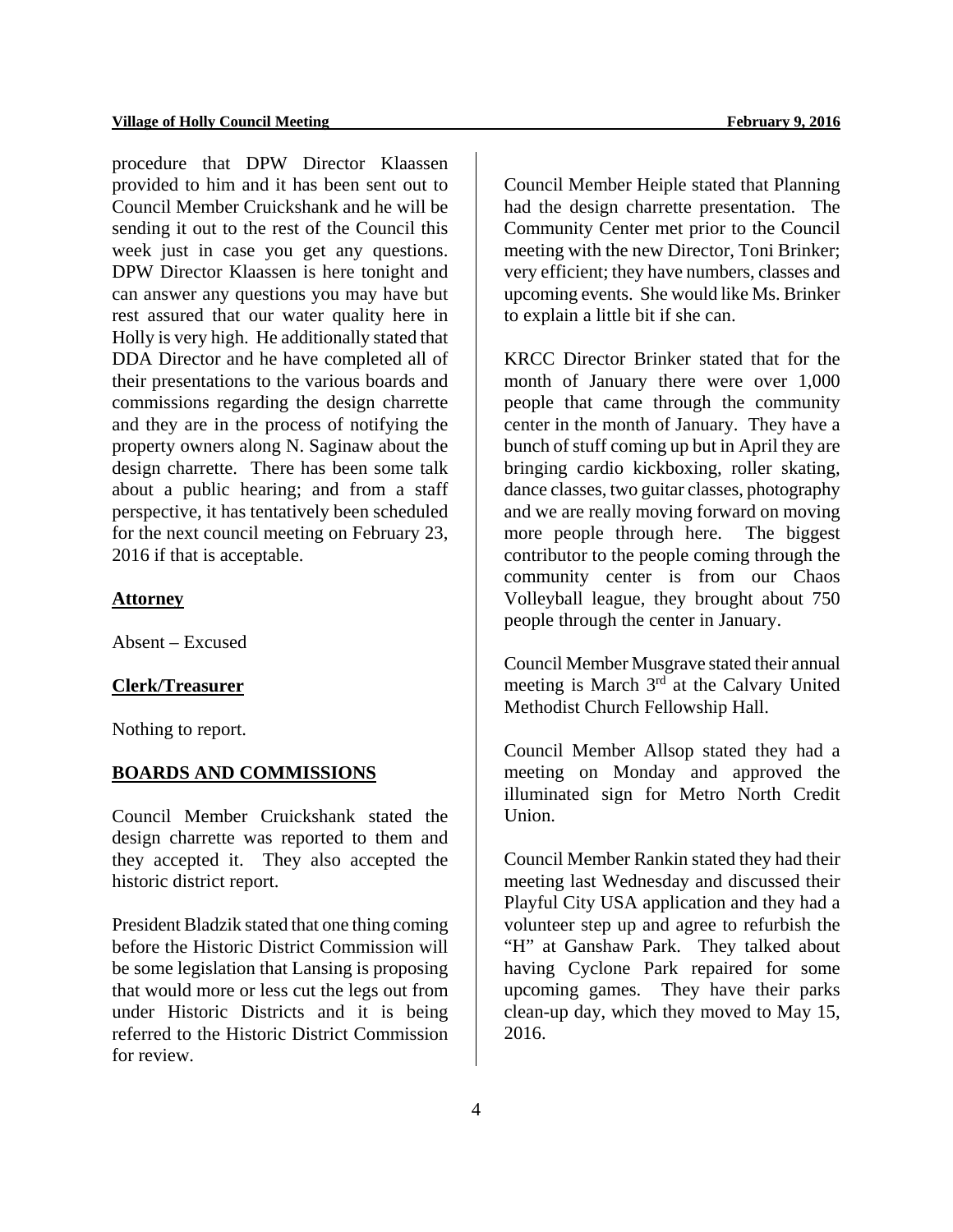procedure that DPW Director Klaassen provided to him and it has been sent out to Council Member Cruickshank and he will be sending it out to the rest of the Council this week just in case you get any questions. DPW Director Klaassen is here tonight and can answer any questions you may have but rest assured that our water quality here in Holly is very high. He additionally stated that DDA Director and he have completed all of their presentations to the various boards and commissions regarding the design charrette and they are in the process of notifying the property owners along N. Saginaw about the design charrette. There has been some talk about a public hearing; and from a staff perspective, it has tentatively been scheduled for the next council meeting on February 23, 2016 if that is acceptable.

#### **Attorney**

Absent – Excused

#### **Clerk/Treasurer**

Nothing to report.

#### **BOARDS AND COMMISSIONS**

Council Member Cruickshank stated the design charrette was reported to them and they accepted it. They also accepted the historic district report.

President Bladzik stated that one thing coming before the Historic District Commission will be some legislation that Lansing is proposing that would more or less cut the legs out from under Historic Districts and it is being referred to the Historic District Commission for review.

Council Member Heiple stated that Planning had the design charrette presentation. The Community Center met prior to the Council meeting with the new Director, Toni Brinker; very efficient; they have numbers, classes and upcoming events. She would like Ms. Brinker to explain a little bit if she can.

KRCC Director Brinker stated that for the month of January there were over 1,000 people that came through the community center in the month of January. They have a bunch of stuff coming up but in April they are bringing cardio kickboxing, roller skating, dance classes, two guitar classes, photography and we are really moving forward on moving more people through here. The biggest contributor to the people coming through the community center is from our Chaos Volleyball league, they brought about 750 people through the center in January.

Council Member Musgrave stated their annual meeting is March 3<sup>rd</sup> at the Calvary United Methodist Church Fellowship Hall.

Council Member Allsop stated they had a meeting on Monday and approved the illuminated sign for Metro North Credit Union.

Council Member Rankin stated they had their meeting last Wednesday and discussed their Playful City USA application and they had a volunteer step up and agree to refurbish the "H" at Ganshaw Park. They talked about having Cyclone Park repaired for some upcoming games. They have their parks clean-up day, which they moved to May 15, 2016.